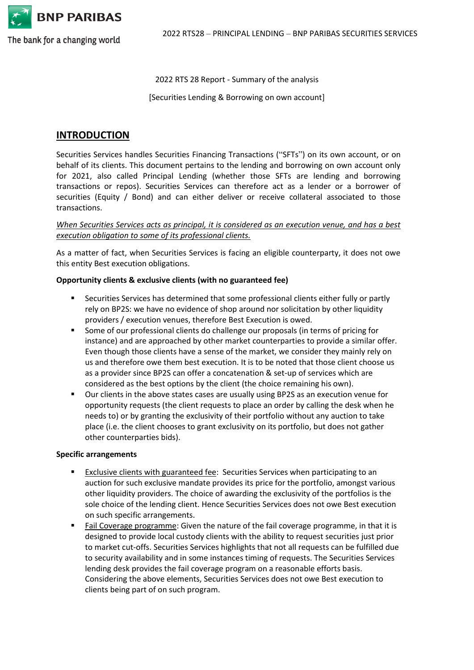

The bank for a changing world

2022 RTS 28 Report - Summary of the analysis

[Securities Lending & Borrowing on own account]

# **INTRODUCTION**

Securities Services handles Securities Financing Transactions ("SFTs") on its own account, or on behalf of its clients. This document pertains to the lending and borrowing on own account only for 2021, also called Principal Lending (whether those SFTs are lending and borrowing transactions or repos). Securities Services can therefore act as a lender or a borrower of securities (Equity / Bond) and can either deliver or receive collateral associated to those transactions.

### *When Securities Services acts as principal, it is considered as an execution venue, and has a best execution obligation to some of its professional clients.*

As a matter of fact, when Securities Services is facing an eligible counterparty, it does not owe this entity Best execution obligations.

#### **Opportunity clients & exclusive clients (with no guaranteed fee)**

- Securities Services has determined that some professional clients either fully or partly rely on BP2S: we have no evidence of shop around nor solicitation by other liquidity providers / execution venues, therefore Best Execution is owed.
- Some of our professional clients do challenge our proposals (in terms of pricing for instance) and are approached by other market counterparties to provide a similar offer. Even though those clients have a sense of the market, we consider they mainly rely on us and therefore owe them best execution. It is to be noted that those client choose us as a provider since BP2S can offer a concatenation & set-up of services which are considered as the best options by the client (the choice remaining his own).
- Our clients in the above states cases are usually using BP2S as an execution venue for opportunity requests (the client requests to place an order by calling the desk when he needs to) or by granting the exclusivity of their portfolio without any auction to take place (i.e. the client chooses to grant exclusivity on its portfolio, but does not gather other counterparties bids).

#### **Specific arrangements**

- Exclusive clients with guaranteed fee: Securities Services when participating to an auction for such exclusive mandate provides its price for the portfolio, amongst various other liquidity providers. The choice of awarding the exclusivity of the portfolios is the sole choice of the lending client. Hence Securities Services does not owe Best execution on such specific arrangements.
- Fail Coverage programme: Given the nature of the fail coverage programme, in that it is designed to provide local custody clients with the ability to request securities just prior to market cut-offs. Securities Services highlights that not all requests can be fulfilled due to security availability and in some instances timing of requests. The Securities Services lending desk provides the fail coverage program on a reasonable efforts basis. Considering the above elements, Securities Services does not owe Best execution to clients being part of on such program.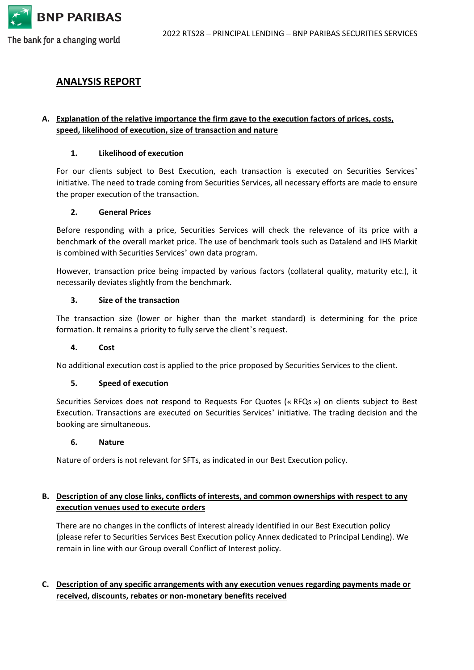

The bank for a changing world

# **ANALYSIS REPORT**

## **A. Explanation of the relative importance the firm gave to the execution factors of prices, costs, speed, likelihood of execution, size of transaction and nature**

#### **1. Likelihood of execution**

For our clients subject to Best Execution, each transaction is executed on Securities Services' initiative. The need to trade coming from Securities Services, all necessary efforts are made to ensure the proper execution of the transaction.

#### **2. General Prices**

Before responding with a price, Securities Services will check the relevance of its price with a benchmark of the overall market price. The use of benchmark tools such as Datalend and IHS Markit is combined with Securities Services' own data program.

However, transaction price being impacted by various factors (collateral quality, maturity etc.), it necessarily deviates slightly from the benchmark.

#### **3. Size of the transaction**

The transaction size (lower or higher than the market standard) is determining for the price formation. It remains a priority to fully serve the client's request.

#### **4. Cost**

No additional execution cost is applied to the price proposed by Securities Services to the client.

## **5. Speed of execution**

Securities Services does not respond to Requests For Quotes (« RFQs ») on clients subject to Best Execution. Transactions are executed on Securities Services' initiative. The trading decision and the booking are simultaneous.

#### **6. Nature**

Nature of orders is not relevant for SFTs, as indicated in our Best Execution policy.

## **B. Description of any close links, conflicts of interests, and common ownerships with respect to any execution venues used to execute orders**

There are no changes in the conflicts of interest already identified in our Best Execution policy (please refer to Securities Services Best Execution policy Annex dedicated to Principal Lending). We remain in line with our Group overall Conflict of Interest policy.

# **C. Description of any specific arrangements with any execution venues regarding payments made or received, discounts, rebates or non-monetary benefits received**